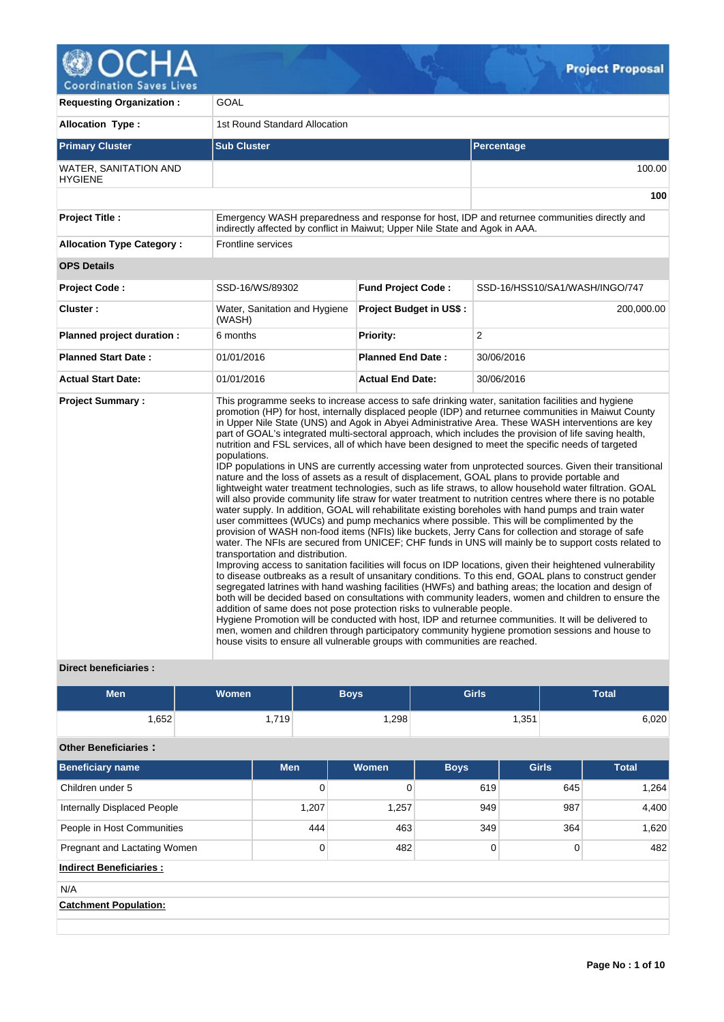

| <b>Requesting Organization:</b>         | GOAL                                                                                                                                                                                                    |                                |                                                                                                                                                                                                                                                                                                                                                                                                                                                                                                                                                                                                                                                                                                                                                                                                                                                                                                                                                                                                                                                                                                                                                                                                                                                                                                                                                                                                                                                                                                                                                                                                                                                                                                                                                                                                                                                                                                                                                                                                                                               |  |  |  |  |  |
|-----------------------------------------|---------------------------------------------------------------------------------------------------------------------------------------------------------------------------------------------------------|--------------------------------|-----------------------------------------------------------------------------------------------------------------------------------------------------------------------------------------------------------------------------------------------------------------------------------------------------------------------------------------------------------------------------------------------------------------------------------------------------------------------------------------------------------------------------------------------------------------------------------------------------------------------------------------------------------------------------------------------------------------------------------------------------------------------------------------------------------------------------------------------------------------------------------------------------------------------------------------------------------------------------------------------------------------------------------------------------------------------------------------------------------------------------------------------------------------------------------------------------------------------------------------------------------------------------------------------------------------------------------------------------------------------------------------------------------------------------------------------------------------------------------------------------------------------------------------------------------------------------------------------------------------------------------------------------------------------------------------------------------------------------------------------------------------------------------------------------------------------------------------------------------------------------------------------------------------------------------------------------------------------------------------------------------------------------------------------|--|--|--|--|--|
| <b>Allocation Type:</b>                 | 1st Round Standard Allocation                                                                                                                                                                           |                                |                                                                                                                                                                                                                                                                                                                                                                                                                                                                                                                                                                                                                                                                                                                                                                                                                                                                                                                                                                                                                                                                                                                                                                                                                                                                                                                                                                                                                                                                                                                                                                                                                                                                                                                                                                                                                                                                                                                                                                                                                                               |  |  |  |  |  |
| <b>Primary Cluster</b>                  | <b>Sub Cluster</b>                                                                                                                                                                                      |                                | Percentage                                                                                                                                                                                                                                                                                                                                                                                                                                                                                                                                                                                                                                                                                                                                                                                                                                                                                                                                                                                                                                                                                                                                                                                                                                                                                                                                                                                                                                                                                                                                                                                                                                                                                                                                                                                                                                                                                                                                                                                                                                    |  |  |  |  |  |
| WATER, SANITATION AND<br><b>HYGIENE</b> |                                                                                                                                                                                                         |                                | 100.00                                                                                                                                                                                                                                                                                                                                                                                                                                                                                                                                                                                                                                                                                                                                                                                                                                                                                                                                                                                                                                                                                                                                                                                                                                                                                                                                                                                                                                                                                                                                                                                                                                                                                                                                                                                                                                                                                                                                                                                                                                        |  |  |  |  |  |
|                                         |                                                                                                                                                                                                         |                                | 100                                                                                                                                                                                                                                                                                                                                                                                                                                                                                                                                                                                                                                                                                                                                                                                                                                                                                                                                                                                                                                                                                                                                                                                                                                                                                                                                                                                                                                                                                                                                                                                                                                                                                                                                                                                                                                                                                                                                                                                                                                           |  |  |  |  |  |
| <b>Project Title:</b>                   | indirectly affected by conflict in Maiwut; Upper Nile State and Agok in AAA.                                                                                                                            |                                | Emergency WASH preparedness and response for host, IDP and returnee communities directly and                                                                                                                                                                                                                                                                                                                                                                                                                                                                                                                                                                                                                                                                                                                                                                                                                                                                                                                                                                                                                                                                                                                                                                                                                                                                                                                                                                                                                                                                                                                                                                                                                                                                                                                                                                                                                                                                                                                                                  |  |  |  |  |  |
| <b>Allocation Type Category:</b>        | <b>Frontline services</b>                                                                                                                                                                               |                                |                                                                                                                                                                                                                                                                                                                                                                                                                                                                                                                                                                                                                                                                                                                                                                                                                                                                                                                                                                                                                                                                                                                                                                                                                                                                                                                                                                                                                                                                                                                                                                                                                                                                                                                                                                                                                                                                                                                                                                                                                                               |  |  |  |  |  |
| <b>OPS Details</b>                      |                                                                                                                                                                                                         |                                |                                                                                                                                                                                                                                                                                                                                                                                                                                                                                                                                                                                                                                                                                                                                                                                                                                                                                                                                                                                                                                                                                                                                                                                                                                                                                                                                                                                                                                                                                                                                                                                                                                                                                                                                                                                                                                                                                                                                                                                                                                               |  |  |  |  |  |
| <b>Project Code:</b>                    | SSD-16/WS/89302                                                                                                                                                                                         | <b>Fund Project Code:</b>      | SSD-16/HSS10/SA1/WASH/INGO/747                                                                                                                                                                                                                                                                                                                                                                                                                                                                                                                                                                                                                                                                                                                                                                                                                                                                                                                                                                                                                                                                                                                                                                                                                                                                                                                                                                                                                                                                                                                                                                                                                                                                                                                                                                                                                                                                                                                                                                                                                |  |  |  |  |  |
| Cluster:                                | Water, Sanitation and Hygiene<br>(WASH)                                                                                                                                                                 | <b>Project Budget in US\$:</b> | 200,000.00                                                                                                                                                                                                                                                                                                                                                                                                                                                                                                                                                                                                                                                                                                                                                                                                                                                                                                                                                                                                                                                                                                                                                                                                                                                                                                                                                                                                                                                                                                                                                                                                                                                                                                                                                                                                                                                                                                                                                                                                                                    |  |  |  |  |  |
| Planned project duration :              | 6 months                                                                                                                                                                                                | Priority:                      | 2                                                                                                                                                                                                                                                                                                                                                                                                                                                                                                                                                                                                                                                                                                                                                                                                                                                                                                                                                                                                                                                                                                                                                                                                                                                                                                                                                                                                                                                                                                                                                                                                                                                                                                                                                                                                                                                                                                                                                                                                                                             |  |  |  |  |  |
| <b>Planned Start Date:</b>              | 01/01/2016                                                                                                                                                                                              | <b>Planned End Date:</b>       | 30/06/2016                                                                                                                                                                                                                                                                                                                                                                                                                                                                                                                                                                                                                                                                                                                                                                                                                                                                                                                                                                                                                                                                                                                                                                                                                                                                                                                                                                                                                                                                                                                                                                                                                                                                                                                                                                                                                                                                                                                                                                                                                                    |  |  |  |  |  |
| <b>Actual Start Date:</b>               | 01/01/2016                                                                                                                                                                                              | <b>Actual End Date:</b>        | 30/06/2016                                                                                                                                                                                                                                                                                                                                                                                                                                                                                                                                                                                                                                                                                                                                                                                                                                                                                                                                                                                                                                                                                                                                                                                                                                                                                                                                                                                                                                                                                                                                                                                                                                                                                                                                                                                                                                                                                                                                                                                                                                    |  |  |  |  |  |
| <b>Project Summary:</b>                 | populations.<br>transportation and distribution.<br>addition of same does not pose protection risks to vulnerable people.<br>house visits to ensure all vulnerable groups with communities are reached. |                                | This programme seeks to increase access to safe drinking water, sanitation facilities and hygiene<br>promotion (HP) for host, internally displaced people (IDP) and returnee communities in Maiwut County<br>in Upper Nile State (UNS) and Agok in Abyei Administrative Area. These WASH interventions are key<br>part of GOAL's integrated multi-sectoral approach, which includes the provision of life saving health,<br>nutrition and FSL services, all of which have been designed to meet the specific needs of targeted<br>IDP populations in UNS are currently accessing water from unprotected sources. Given their transitional<br>nature and the loss of assets as a result of displacement, GOAL plans to provide portable and<br>lightweight water treatment technologies, such as life straws, to allow household water filtration. GOAL<br>will also provide community life straw for water treatment to nutrition centres where there is no potable<br>water supply. In addition, GOAL will rehabilitate existing boreholes with hand pumps and train water<br>user committees (WUCs) and pump mechanics where possible. This will be complimented by the<br>provision of WASH non-food items (NFIs) like buckets, Jerry Cans for collection and storage of safe<br>water. The NFIs are secured from UNICEF; CHF funds in UNS will mainly be to support costs related to<br>Improving access to sanitation facilities will focus on IDP locations, given their heightened vulnerability<br>to disease outbreaks as a result of unsanitary conditions. To this end, GOAL plans to construct gender<br>segregated latrines with hand washing facilities (HWFs) and bathing areas; the location and design of<br>both will be decided based on consultations with community leaders, women and children to ensure the<br>Hygiene Promotion will be conducted with host, IDP and returnee communities. It will be delivered to<br>men, women and children through participatory community hygiene promotion sessions and house to |  |  |  |  |  |

# **Direct beneficiaries :**

| Men  | <b>Women</b> | <b>Boys</b> | <b>Girls</b> | <b>Total</b> |
|------|--------------|-------------|--------------|--------------|
| ,652 | ∃719. ،      | ,298        | 251<br>⊤ טט, | 6,020        |

# **Other Beneficiaries :**

| Beneficiary name               | <b>Men</b> | Women | <b>Boys</b>    | <b>Girls</b> | <b>Total</b> |
|--------------------------------|------------|-------|----------------|--------------|--------------|
| Children under 5               | 0          | 0     | 619            | 645          | 1,264        |
| Internally Displaced People    | 1,207      | 1,257 | 949            | 987          | 4,400        |
| People in Host Communities     | 444        | 463   | 349            | 364          | 1,620        |
| Pregnant and Lactating Women   | 0          | 482   | $\overline{0}$ | $\Omega$     | 482          |
| <b>Indirect Beneficiaries:</b> |            |       |                |              |              |
| N/A                            |            |       |                |              |              |
| <b>Catchment Population:</b>   |            |       |                |              |              |
|                                |            |       |                |              |              |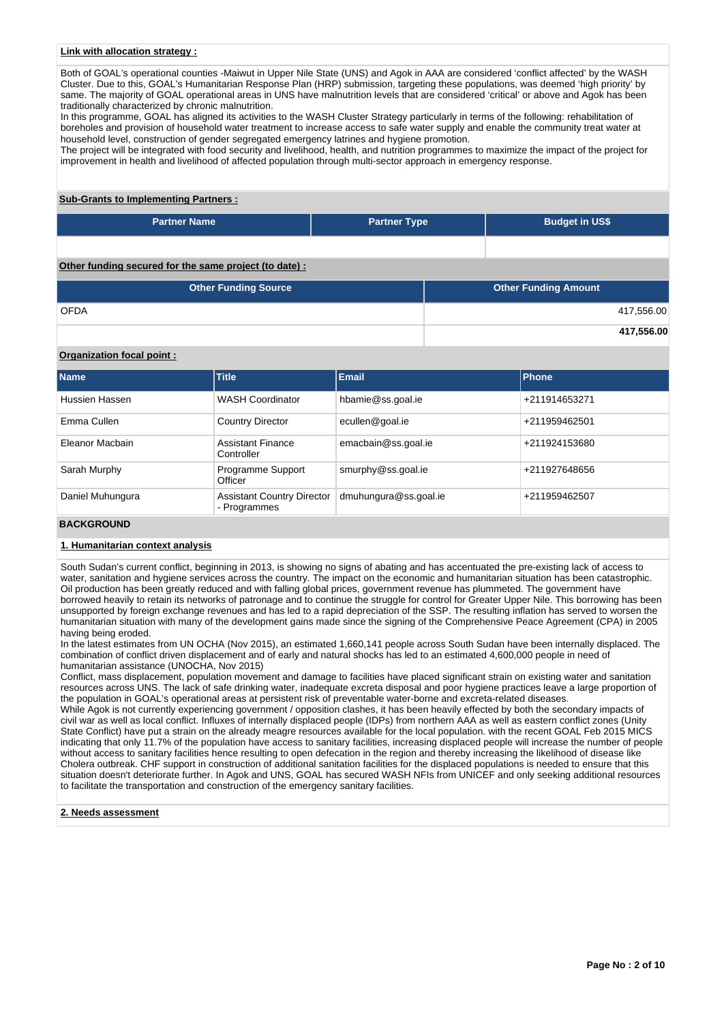## **Link with allocation strategy :**

Both of GOAL's operational counties -Maiwut in Upper Nile State (UNS) and Agok in AAA are considered 'conflict affected' by the WASH Cluster. Due to this, GOAL's Humanitarian Response Plan (HRP) submission, targeting these populations, was deemed 'high priority' by same. The majority of GOAL operational areas in UNS have malnutrition levels that are considered 'critical' or above and Agok has been traditionally characterized by chronic malnutrition.

In this programme, GOAL has aligned its activities to the WASH Cluster Strategy particularly in terms of the following: rehabilitation of boreholes and provision of household water treatment to increase access to safe water supply and enable the community treat water at household level, construction of gender segregated emergency latrines and hygiene promotion.

The project will be integrated with food security and livelihood, health, and nutrition programmes to maximize the impact of the project for improvement in health and livelihood of affected population through multi-sector approach in emergency response.

# **Sub-Grants to Implementing Partners :**

| <b>Partner Name</b>                                   | <b>Partner Type</b> | <b>Budget in US\$</b> |
|-------------------------------------------------------|---------------------|-----------------------|
|                                                       |                     |                       |
| Other funding secured for the same project (to date): |                     |                       |

| <b>Other Funding Source</b> | <b>Other Funding Amount</b> |
|-----------------------------|-----------------------------|
| <b>OFDA</b>                 | 417,556.00                  |
|                             | 417,556.00                  |

## **Organization focal point :**

| <b>Name</b>      | Title                                             | <b>Email</b>          | <b>Phone</b>  |
|------------------|---------------------------------------------------|-----------------------|---------------|
| Hussien Hassen   | <b>WASH Coordinator</b>                           | hbamie@ss.goal.ie     | +211914653271 |
| Emma Cullen      | <b>Country Director</b>                           | ecullen@goal.ie       | +211959462501 |
| Eleanor Macbain  | <b>Assistant Finance</b><br>Controller            | emacbain@ss.goal.ie   | +211924153680 |
| Sarah Murphy     | Programme Support<br>Officer                      | smurphy@ss.goal.ie    | +211927648656 |
| Daniel Muhungura | <b>Assistant Country Director</b><br>- Programmes | dmuhungura@ss.goal.ie | +211959462507 |

#### **BACKGROUND**

#### **1. Humanitarian context analysis**

South Sudan's current conflict, beginning in 2013, is showing no signs of abating and has accentuated the pre-existing lack of access to water, sanitation and hygiene services across the country. The impact on the economic and humanitarian situation has been catastrophic. Oil production has been greatly reduced and with falling global prices, government revenue has plummeted. The government have borrowed heavily to retain its networks of patronage and to continue the struggle for control for Greater Upper Nile. This borrowing has been unsupported by foreign exchange revenues and has led to a rapid depreciation of the SSP. The resulting inflation has served to worsen the humanitarian situation with many of the development gains made since the signing of the Comprehensive Peace Agreement (CPA) in 2005 having being eroded.

In the latest estimates from UN OCHA (Nov 2015), an estimated 1,660,141 people across South Sudan have been internally displaced. The combination of conflict driven displacement and of early and natural shocks has led to an estimated 4,600,000 people in need of humanitarian assistance (UNOCHA, Nov 2015)

Conflict, mass displacement, population movement and damage to facilities have placed significant strain on existing water and sanitation resources across UNS. The lack of safe drinking water, inadequate excreta disposal and poor hygiene practices leave a large proportion of the population in GOAL's operational areas at persistent risk of preventable water-borne and excreta-related diseases.

While Agok is not currently experiencing government / opposition clashes, it has been heavily effected by both the secondary impacts of civil war as well as local conflict. Influxes of internally displaced people (IDPs) from northern AAA as well as eastern conflict zones (Unity State Conflict) have put a strain on the already meagre resources available for the local population. with the recent GOAL Feb 2015 MICS indicating that only 11.7% of the population have access to sanitary facilities, increasing displaced people will increase the number of people without access to sanitary facilities hence resulting to open defecation in the region and thereby increasing the likelihood of disease like Cholera outbreak. CHF support in construction of additional sanitation facilities for the displaced populations is needed to ensure that this situation doesn't deteriorate further. In Agok and UNS, GOAL has secured WASH NFIs from UNICEF and only seeking additional resources to facilitate the transportation and construction of the emergency sanitary facilities.

#### **2. Needs assessment**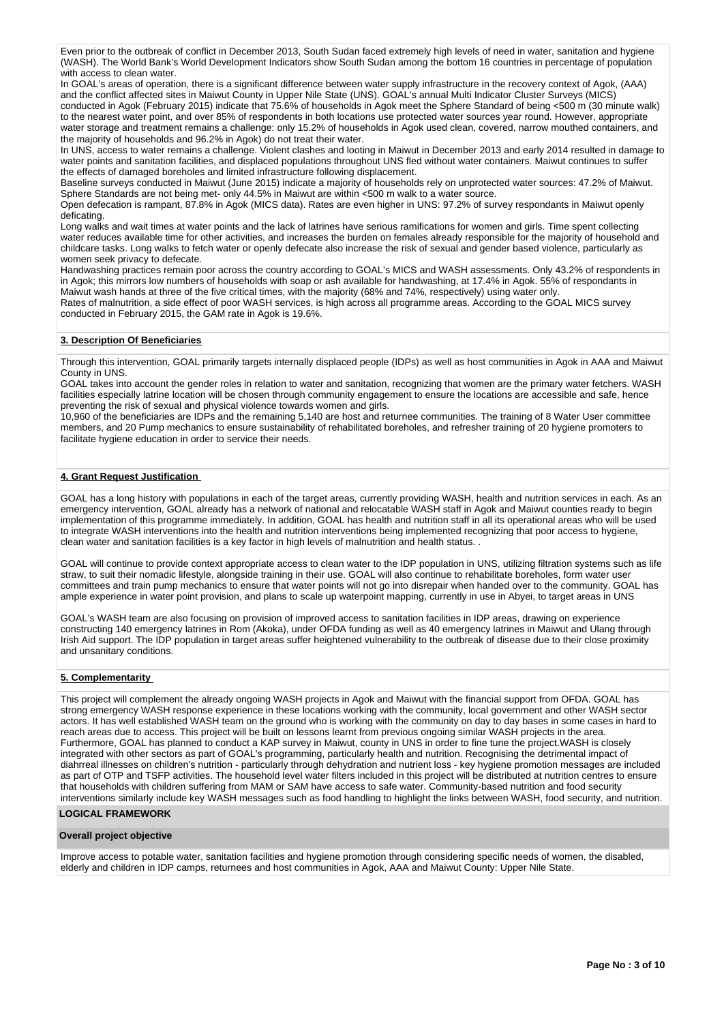Even prior to the outbreak of conflict in December 2013, South Sudan faced extremely high levels of need in water, sanitation and hygiene (WASH). The World Bank's World Development Indicators show South Sudan among the bottom 16 countries in percentage of population with access to clean water.

In GOAL's areas of operation, there is a significant difference between water supply infrastructure in the recovery context of Agok, (AAA) and the conflict affected sites in Maiwut County in Upper Nile State (UNS). GOAL's annual Multi Indicator Cluster Surveys (MICS) conducted in Agok (February 2015) indicate that 75.6% of households in Agok meet the Sphere Standard of being <500 m (30 minute walk) to the nearest water point, and over 85% of respondents in both locations use protected water sources year round. However, appropriate water storage and treatment remains a challenge: only 15.2% of households in Agok used clean, covered, narrow mouthed containers, and the majority of households and 96.2% in Agok) do not treat their water.

In UNS, access to water remains a challenge. Violent clashes and looting in Maiwut in December 2013 and early 2014 resulted in damage to water points and sanitation facilities, and displaced populations throughout UNS fled without water containers. Maiwut continues to suffer the effects of damaged boreholes and limited infrastructure following displacement.

Baseline surveys conducted in Maiwut (June 2015) indicate a majority of households rely on unprotected water sources: 47.2% of Maiwut. Sphere Standards are not being met- only 44.5% in Maiwut are within <500 m walk to a water source.

Open defecation is rampant, 87.8% in Agok (MICS data). Rates are even higher in UNS: 97.2% of survey respondants in Maiwut openly deficating.

Long walks and wait times at water points and the lack of latrines have serious ramifications for women and girls. Time spent collecting water reduces available time for other activities, and increases the burden on females already responsible for the majority of household and childcare tasks. Long walks to fetch water or openly defecate also increase the risk of sexual and gender based violence, particularly as women seek privacy to defecate.

Handwashing practices remain poor across the country according to GOAL's MICS and WASH assessments. Only 43.2% of respondents in in Agok; this mirrors low numbers of households with soap or ash available for handwashing, at 17.4% in Agok. 55% of respondants in Maiwut wash hands at three of the five critical times, with the majority (68% and 74%, respectively) using water only.

Rates of malnutrition, a side effect of poor WASH services, is high across all programme areas. According to the GOAL MICS survey conducted in February 2015, the GAM rate in Agok is 19.6%.

## **3. Description Of Beneficiaries**

Through this intervention, GOAL primarily targets internally displaced people (IDPs) as well as host communities in Agok in AAA and Maiwut County in UNS.

GOAL takes into account the gender roles in relation to water and sanitation, recognizing that women are the primary water fetchers. WASH facilities especially latrine location will be chosen through community engagement to ensure the locations are accessible and safe, hence preventing the risk of sexual and physical violence towards women and girls.

10,960 of the beneficiaries are IDPs and the remaining 5,140 are host and returnee communities. The training of 8 Water User committee members, and 20 Pump mechanics to ensure sustainability of rehabilitated boreholes, and refresher training of 20 hygiene promoters to facilitate hygiene education in order to service their needs.

## **4. Grant Request Justification**

GOAL has a long history with populations in each of the target areas, currently providing WASH, health and nutrition services in each. As an emergency intervention, GOAL already has a network of national and relocatable WASH staff in Agok and Maiwut counties ready to begin implementation of this programme immediately. In addition, GOAL has health and nutrition staff in all its operational areas who will be used to integrate WASH interventions into the health and nutrition interventions being implemented recognizing that poor access to hygiene, clean water and sanitation facilities is a key factor in high levels of malnutrition and health status. .

GOAL will continue to provide context appropriate access to clean water to the IDP population in UNS, utilizing filtration systems such as life straw, to suit their nomadic lifestyle, alongside training in their use. GOAL will also continue to rehabilitate boreholes, form water user committees and train pump mechanics to ensure that water points will not go into disrepair when handed over to the community. GOAL has ample experience in water point provision, and plans to scale up waterpoint mapping, currently in use in Abyei, to target areas in UNS

GOAL's WASH team are also focusing on provision of improved access to sanitation facilities in IDP areas, drawing on experience constructing 140 emergency latrines in Rom (Akoka), under OFDA funding as well as 40 emergency latrines in Maiwut and Ulang through Irish Aid support. The IDP population in target areas suffer heightened vulnerability to the outbreak of disease due to their close proximity and unsanitary conditions.

## **5. Complementarity**

This project will complement the already ongoing WASH projects in Agok and Maiwut with the financial support from OFDA. GOAL has strong emergency WASH response experience in these locations working with the community, local government and other WASH sector actors. It has well established WASH team on the ground who is working with the community on day to day bases in some cases in hard to reach areas due to access. This project will be built on lessons learnt from previous ongoing similar WASH projects in the area. Furthermore, GOAL has planned to conduct a KAP survey in Maiwut, county in UNS in order to fine tune the project.WASH is closely integrated with other sectors as part of GOAL's programming, particularly health and nutrition. Recognising the detrimental impact of diahrreal illnesses on children's nutrition - particularly through dehydration and nutrient loss - key hygiene promotion messages are included as part of OTP and TSFP activities. The household level water filters included in this project will be distributed at nutrition centres to ensure that households with children suffering from MAM or SAM have access to safe water. Community-based nutrition and food security interventions similarly include key WASH messages such as food handling to highlight the links between WASH, food security, and nutrition.

## **LOGICAL FRAMEWORK**

### **Overall project objective**

Improve access to potable water, sanitation facilities and hygiene promotion through considering specific needs of women, the disabled, elderly and children in IDP camps, returnees and host communities in Agok, AAA and Maiwut County: Upper Nile State.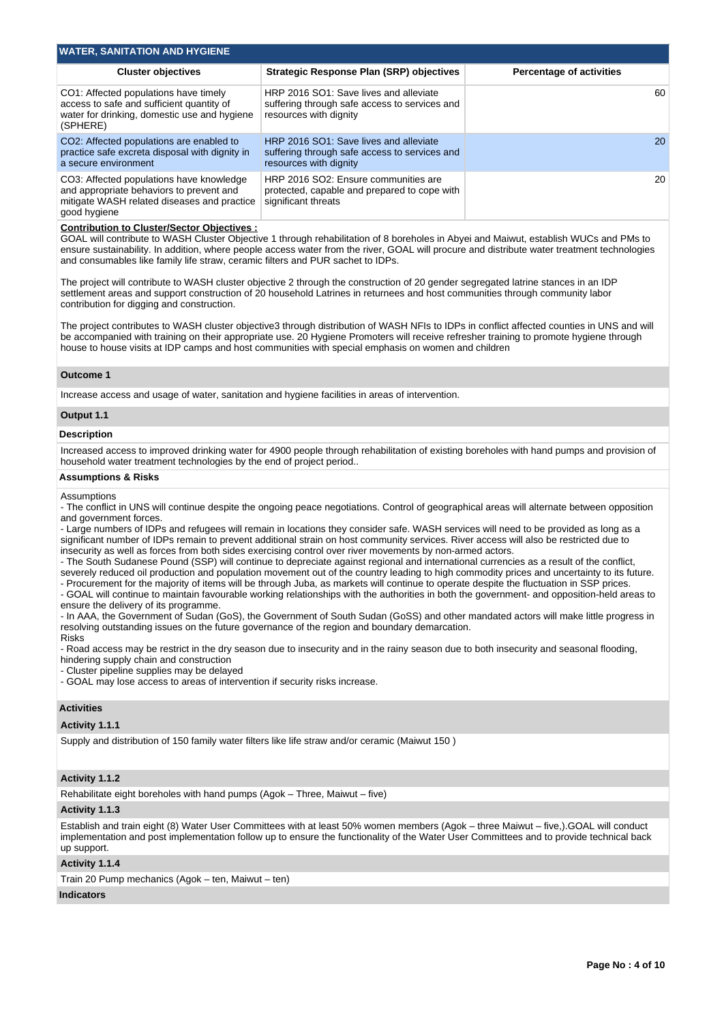| <b>WATER, SANITATION AND HYGIENE</b>                                                                                                                |                                                                                                                   |                                 |
|-----------------------------------------------------------------------------------------------------------------------------------------------------|-------------------------------------------------------------------------------------------------------------------|---------------------------------|
| <b>Cluster objectives</b>                                                                                                                           | <b>Strategic Response Plan (SRP) objectives</b>                                                                   | <b>Percentage of activities</b> |
| CO1: Affected populations have timely<br>access to safe and sufficient quantity of<br>water for drinking, domestic use and hygiene<br>(SPHERE)      | HRP 2016 SO1: Save lives and alleviate<br>suffering through safe access to services and<br>resources with dignity | 60                              |
| CO2: Affected populations are enabled to<br>practice safe excreta disposal with dignity in<br>a secure environment                                  | HRP 2016 SO1: Save lives and alleviate<br>suffering through safe access to services and<br>resources with dignity | 20                              |
| CO3: Affected populations have knowledge<br>and appropriate behaviors to prevent and<br>mitigate WASH related diseases and practice<br>good hygiene | HRP 2016 SO2: Ensure communities are<br>protected, capable and prepared to cope with<br>significant threats       | 20                              |

#### **Contribution to Cluster/Sector Objectives :**

GOAL will contribute to WASH Cluster Objective 1 through rehabilitation of 8 boreholes in Abyei and Maiwut, establish WUCs and PMs to ensure sustainability. In addition, where people access water from the river, GOAL will procure and distribute water treatment technologies and consumables like family life straw, ceramic filters and PUR sachet to IDPs.

The project will contribute to WASH cluster objective 2 through the construction of 20 gender segregated latrine stances in an IDP settlement areas and support construction of 20 household Latrines in returnees and host communities through community labor contribution for digging and construction.

The project contributes to WASH cluster objective3 through distribution of WASH NFIs to IDPs in conflict affected counties in UNS and will be accompanied with training on their appropriate use. 20 Hygiene Promoters will receive refresher training to promote hygiene through house to house visits at IDP camps and host communities with special emphasis on women and children

#### **Outcome 1**

Increase access and usage of water, sanitation and hygiene facilities in areas of intervention.

#### **Output 1.1**

#### **Description**

Increased access to improved drinking water for 4900 people through rehabilitation of existing boreholes with hand pumps and provision of household water treatment technologies by the end of project period..

#### **Assumptions & Risks**

Assumptions

- The conflict in UNS will continue despite the ongoing peace negotiations. Control of geographical areas will alternate between opposition and government forces.

- Large numbers of IDPs and refugees will remain in locations they consider safe. WASH services will need to be provided as long as a significant number of IDPs remain to prevent additional strain on host community services. River access will also be restricted due to insecurity as well as forces from both sides exercising control over river movements by non-armed actors.

- The South Sudanese Pound (SSP) will continue to depreciate against regional and international currencies as a result of the conflict, severely reduced oil production and population movement out of the country leading to high commodity prices and uncertainty to its future.

- Procurement for the majority of items will be through Juba, as markets will continue to operate despite the fluctuation in SSP prices. - GOAL will continue to maintain favourable working relationships with the authorities in both the government- and opposition-held areas to

ensure the delivery of its programme. - In AAA, the Government of Sudan (GoS), the Government of South Sudan (GoSS) and other mandated actors will make little progress in

resolving outstanding issues on the future governance of the region and boundary demarcation. Risks

- Road access may be restrict in the dry season due to insecurity and in the rainy season due to both insecurity and seasonal flooding, hindering supply chain and construction

- Cluster pipeline supplies may be delayed

- GOAL may lose access to areas of intervention if security risks increase.

### **Activities**

#### **Activity 1.1.1**

Supply and distribution of 150 family water filters like life straw and/or ceramic (Maiwut 150 )

## **Activity 1.1.2**

Rehabilitate eight boreholes with hand pumps (Agok – Three, Maiwut – five)

#### **Activity 1.1.3**

Establish and train eight (8) Water User Committees with at least 50% women members (Agok – three Maiwut – five,).GOAL will conduct implementation and post implementation follow up to ensure the functionality of the Water User Committees and to provide technical back up support.

#### **Activity 1.1.4**

Train 20 Pump mechanics (Agok – ten, Maiwut – ten)

## **Indicators**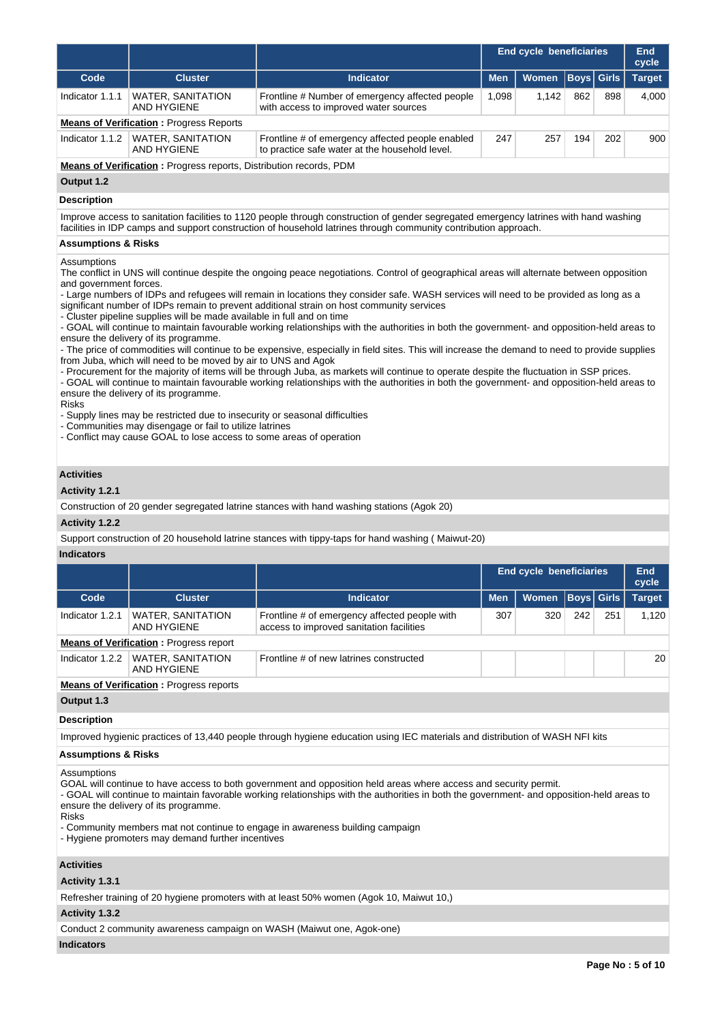|                                                                                                                                                                                                                                                          |                                                                                                                                                                                                                                                                                                                                                                                                                                            |                                                                                                                                                                                                                                                                                                                                                                                                                                                                                                                                                                                                                                                                                                                                                                                                                                                                                                                                                                                                                                  | <b>End cycle beneficiaries</b> |                                |             |              | End<br>cycle  |  |  |  |  |  |
|----------------------------------------------------------------------------------------------------------------------------------------------------------------------------------------------------------------------------------------------------------|--------------------------------------------------------------------------------------------------------------------------------------------------------------------------------------------------------------------------------------------------------------------------------------------------------------------------------------------------------------------------------------------------------------------------------------------|----------------------------------------------------------------------------------------------------------------------------------------------------------------------------------------------------------------------------------------------------------------------------------------------------------------------------------------------------------------------------------------------------------------------------------------------------------------------------------------------------------------------------------------------------------------------------------------------------------------------------------------------------------------------------------------------------------------------------------------------------------------------------------------------------------------------------------------------------------------------------------------------------------------------------------------------------------------------------------------------------------------------------------|--------------------------------|--------------------------------|-------------|--------------|---------------|--|--|--|--|--|
| Code                                                                                                                                                                                                                                                     | <b>Cluster</b>                                                                                                                                                                                                                                                                                                                                                                                                                             | <b>Indicator</b>                                                                                                                                                                                                                                                                                                                                                                                                                                                                                                                                                                                                                                                                                                                                                                                                                                                                                                                                                                                                                 | <b>Men</b>                     | <b>Women</b>                   | <b>Boys</b> | <b>Girls</b> | <b>Target</b> |  |  |  |  |  |
| Indicator 1.1.1                                                                                                                                                                                                                                          | <b>WATER, SANITATION</b><br>AND HYGIENE                                                                                                                                                                                                                                                                                                                                                                                                    | Frontline # Number of emergency affected people<br>with access to improved water sources                                                                                                                                                                                                                                                                                                                                                                                                                                                                                                                                                                                                                                                                                                                                                                                                                                                                                                                                         | 1,098                          | 1,142                          | 862         | 898          | 4,000         |  |  |  |  |  |
| <b>Means of Verification: Progress Reports</b>                                                                                                                                                                                                           |                                                                                                                                                                                                                                                                                                                                                                                                                                            |                                                                                                                                                                                                                                                                                                                                                                                                                                                                                                                                                                                                                                                                                                                                                                                                                                                                                                                                                                                                                                  |                                |                                |             |              |               |  |  |  |  |  |
| Indicator 1.1.2                                                                                                                                                                                                                                          | <b>WATER, SANITATION</b><br><b>AND HYGIENE</b>                                                                                                                                                                                                                                                                                                                                                                                             | Frontline # of emergency affected people enabled<br>to practice safe water at the household level.                                                                                                                                                                                                                                                                                                                                                                                                                                                                                                                                                                                                                                                                                                                                                                                                                                                                                                                               | 247                            | 257                            | 194         | 202          | 900           |  |  |  |  |  |
| Means of Verification: Progress reports, Distribution records, PDM                                                                                                                                                                                       |                                                                                                                                                                                                                                                                                                                                                                                                                                            |                                                                                                                                                                                                                                                                                                                                                                                                                                                                                                                                                                                                                                                                                                                                                                                                                                                                                                                                                                                                                                  |                                |                                |             |              |               |  |  |  |  |  |
| Output 1.2                                                                                                                                                                                                                                               |                                                                                                                                                                                                                                                                                                                                                                                                                                            |                                                                                                                                                                                                                                                                                                                                                                                                                                                                                                                                                                                                                                                                                                                                                                                                                                                                                                                                                                                                                                  |                                |                                |             |              |               |  |  |  |  |  |
| <b>Description</b>                                                                                                                                                                                                                                       |                                                                                                                                                                                                                                                                                                                                                                                                                                            |                                                                                                                                                                                                                                                                                                                                                                                                                                                                                                                                                                                                                                                                                                                                                                                                                                                                                                                                                                                                                                  |                                |                                |             |              |               |  |  |  |  |  |
| Improve access to sanitation facilities to 1120 people through construction of gender segregated emergency latrines with hand washing<br>facilities in IDP camps and support construction of household latrines through community contribution approach. |                                                                                                                                                                                                                                                                                                                                                                                                                                            |                                                                                                                                                                                                                                                                                                                                                                                                                                                                                                                                                                                                                                                                                                                                                                                                                                                                                                                                                                                                                                  |                                |                                |             |              |               |  |  |  |  |  |
| <b>Assumptions &amp; Risks</b>                                                                                                                                                                                                                           |                                                                                                                                                                                                                                                                                                                                                                                                                                            |                                                                                                                                                                                                                                                                                                                                                                                                                                                                                                                                                                                                                                                                                                                                                                                                                                                                                                                                                                                                                                  |                                |                                |             |              |               |  |  |  |  |  |
| and government forces.<br>Risks<br><b>Activities</b><br>Activity 1.2.1<br>Activity 1.2.2                                                                                                                                                                 | - Cluster pipeline supplies will be made available in full and on time<br>ensure the delivery of its programme.<br>from Juba, which will need to be moved by air to UNS and Agok<br>ensure the delivery of its programme.<br>- Supply lines may be restricted due to insecurity or seasonal difficulties<br>- Communities may disengage or fail to utilize latrines<br>- Conflict may cause GOAL to lose access to some areas of operation | - Large numbers of IDPs and refugees will remain in locations they consider safe. WASH services will need to be provided as long as a<br>significant number of IDPs remain to prevent additional strain on host community services<br>- GOAL will continue to maintain favourable working relationships with the authorities in both the government- and opposition-held areas to<br>- The price of commodities will continue to be expensive, especially in field sites. This will increase the demand to need to provide supplies<br>- Procurement for the majority of items will be through Juba, as markets will continue to operate despite the fluctuation in SSP prices.<br>- GOAL will continue to maintain favourable working relationships with the authorities in both the government- and opposition-held areas to<br>Construction of 20 gender segregated latrine stances with hand washing stations (Agok 20)<br>Support construction of 20 household latrine stances with tippy-taps for hand washing (Maiwut-20) |                                |                                |             |              |               |  |  |  |  |  |
| <b>Indicators</b>                                                                                                                                                                                                                                        |                                                                                                                                                                                                                                                                                                                                                                                                                                            |                                                                                                                                                                                                                                                                                                                                                                                                                                                                                                                                                                                                                                                                                                                                                                                                                                                                                                                                                                                                                                  |                                |                                |             |              |               |  |  |  |  |  |
|                                                                                                                                                                                                                                                          |                                                                                                                                                                                                                                                                                                                                                                                                                                            |                                                                                                                                                                                                                                                                                                                                                                                                                                                                                                                                                                                                                                                                                                                                                                                                                                                                                                                                                                                                                                  |                                | <b>End cycle beneficiaries</b> |             |              | End           |  |  |  |  |  |
|                                                                                                                                                                                                                                                          |                                                                                                                                                                                                                                                                                                                                                                                                                                            |                                                                                                                                                                                                                                                                                                                                                                                                                                                                                                                                                                                                                                                                                                                                                                                                                                                                                                                                                                                                                                  |                                |                                |             |              | cycle         |  |  |  |  |  |
| Code                                                                                                                                                                                                                                                     | <b>Cluster</b>                                                                                                                                                                                                                                                                                                                                                                                                                             | Indicator                                                                                                                                                                                                                                                                                                                                                                                                                                                                                                                                                                                                                                                                                                                                                                                                                                                                                                                                                                                                                        | <b>Men</b>                     | <b>Women</b>                   | <b>Boys</b> | <b>Girls</b> | <b>Target</b> |  |  |  |  |  |
| Indicator 1.2.1                                                                                                                                                                                                                                          | <b>WATER, SANITATION</b><br><b>AND HYGIENE</b>                                                                                                                                                                                                                                                                                                                                                                                             | Frontline # of emergency affected people with<br>access to improved sanitation facilities                                                                                                                                                                                                                                                                                                                                                                                                                                                                                                                                                                                                                                                                                                                                                                                                                                                                                                                                        | 307                            | 320                            | 242         | 251          | 1,120         |  |  |  |  |  |
|                                                                                                                                                                                                                                                          | <b>Means of Verification:</b> Progress report                                                                                                                                                                                                                                                                                                                                                                                              |                                                                                                                                                                                                                                                                                                                                                                                                                                                                                                                                                                                                                                                                                                                                                                                                                                                                                                                                                                                                                                  |                                |                                |             |              |               |  |  |  |  |  |
| Indicator 1.2.2                                                                                                                                                                                                                                          | <b>WATER, SANITATION</b><br><b>AND HYGIENE</b>                                                                                                                                                                                                                                                                                                                                                                                             | Frontline # of new latrines constructed                                                                                                                                                                                                                                                                                                                                                                                                                                                                                                                                                                                                                                                                                                                                                                                                                                                                                                                                                                                          |                                |                                |             |              | 20            |  |  |  |  |  |
| Output 1.3                                                                                                                                                                                                                                               | <b>Means of Verification:</b> Progress reports                                                                                                                                                                                                                                                                                                                                                                                             |                                                                                                                                                                                                                                                                                                                                                                                                                                                                                                                                                                                                                                                                                                                                                                                                                                                                                                                                                                                                                                  |                                |                                |             |              |               |  |  |  |  |  |
| <b>Description</b>                                                                                                                                                                                                                                       |                                                                                                                                                                                                                                                                                                                                                                                                                                            |                                                                                                                                                                                                                                                                                                                                                                                                                                                                                                                                                                                                                                                                                                                                                                                                                                                                                                                                                                                                                                  |                                |                                |             |              |               |  |  |  |  |  |
|                                                                                                                                                                                                                                                          |                                                                                                                                                                                                                                                                                                                                                                                                                                            | Improved hygienic practices of 13,440 people through hygiene education using IEC materials and distribution of WASH NFI kits                                                                                                                                                                                                                                                                                                                                                                                                                                                                                                                                                                                                                                                                                                                                                                                                                                                                                                     |                                |                                |             |              |               |  |  |  |  |  |
| <b>Assumptions &amp; Risks</b>                                                                                                                                                                                                                           |                                                                                                                                                                                                                                                                                                                                                                                                                                            |                                                                                                                                                                                                                                                                                                                                                                                                                                                                                                                                                                                                                                                                                                                                                                                                                                                                                                                                                                                                                                  |                                |                                |             |              |               |  |  |  |  |  |
| Assumptions<br>Risks                                                                                                                                                                                                                                     | ensure the delivery of its programme.<br>- Hygiene promoters may demand further incentives                                                                                                                                                                                                                                                                                                                                                 | GOAL will continue to have access to both government and opposition held areas where access and security permit.<br>- GOAL will continue to maintain favorable working relationships with the authorities in both the government- and opposition-held areas to<br>- Community members mat not continue to engage in awareness building campaign                                                                                                                                                                                                                                                                                                                                                                                                                                                                                                                                                                                                                                                                                  |                                |                                |             |              |               |  |  |  |  |  |
| <b>Activities</b><br>Activity 1.3.1                                                                                                                                                                                                                      |                                                                                                                                                                                                                                                                                                                                                                                                                                            |                                                                                                                                                                                                                                                                                                                                                                                                                                                                                                                                                                                                                                                                                                                                                                                                                                                                                                                                                                                                                                  |                                |                                |             |              |               |  |  |  |  |  |

Refresher training of 20 hygiene promoters with at least 50% women (Agok 10, Maiwut 10,)

# **Activity 1.3.2**

Conduct 2 community awareness campaign on WASH (Maiwut one, Agok-one)

# **Indicators**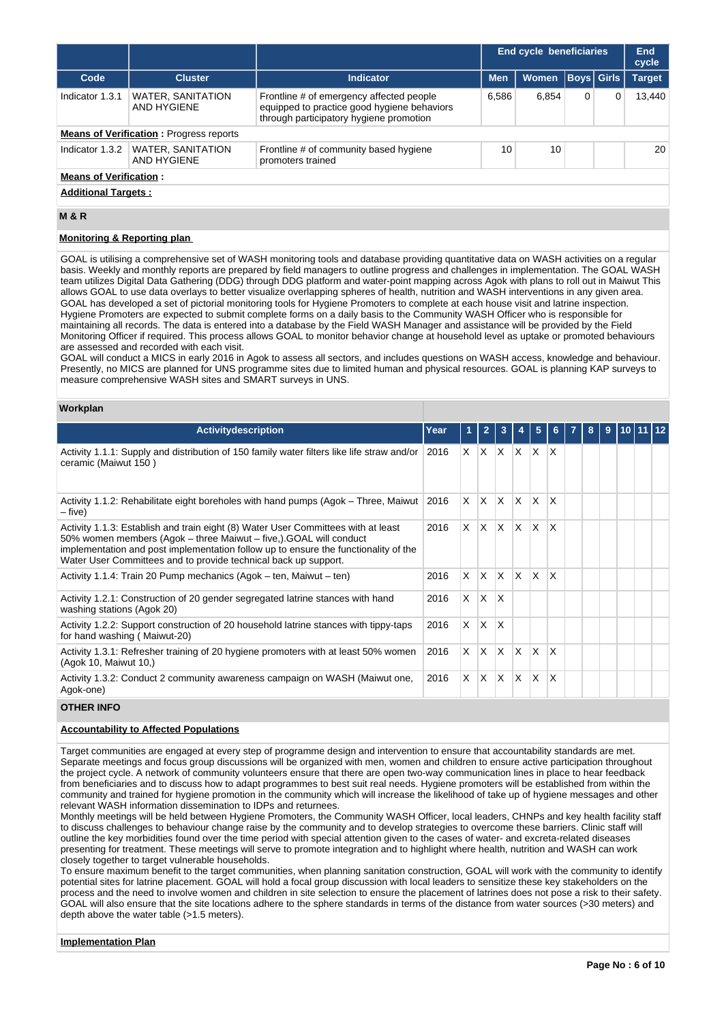|                            |                                                | <b>End cycle beneficiaries</b>                                                                                                     |            |              |   |                   |               |  |  |  |  |  |
|----------------------------|------------------------------------------------|------------------------------------------------------------------------------------------------------------------------------------|------------|--------------|---|-------------------|---------------|--|--|--|--|--|
| Code                       | <b>Cluster</b>                                 | Indicator                                                                                                                          | <b>Men</b> | <b>Women</b> |   | <b>Boys</b> Girls | <b>Target</b> |  |  |  |  |  |
| Indicator 1.3.1            | <b>WATER, SANITATION</b><br>AND HYGIENE        | Frontline # of emergency affected people<br>equipped to practice good hygiene behaviors<br>through participatory hygiene promotion | 6,586      | 6.854        | 0 | 0                 | 13.440        |  |  |  |  |  |
|                            | <b>Means of Verification:</b> Progress reports |                                                                                                                                    |            |              |   |                   |               |  |  |  |  |  |
| Indicator 1.3.2            | <b>WATER, SANITATION</b><br><b>AND HYGIENE</b> | Frontline # of community based hygiene<br>promoters trained                                                                        | 10         | 10           |   |                   | 20            |  |  |  |  |  |
|                            | <b>Means of Verification:</b>                  |                                                                                                                                    |            |              |   |                   |               |  |  |  |  |  |
| <b>Additional Targets:</b> |                                                |                                                                                                                                    |            |              |   |                   |               |  |  |  |  |  |

## **M & R**

#### **Monitoring & Reporting plan**

GOAL is utilising a comprehensive set of WASH monitoring tools and database providing quantitative data on WASH activities on a regular basis. Weekly and monthly reports are prepared by field managers to outline progress and challenges in implementation. The GOAL WASH team utilizes Digital Data Gathering (DDG) through DDG platform and water-point mapping across Agok with plans to roll out in Maiwut This allows GOAL to use data overlays to better visualize overlapping spheres of health, nutrition and WASH interventions in any given area. GOAL has developed a set of pictorial monitoring tools for Hygiene Promoters to complete at each house visit and latrine inspection. Hygiene Promoters are expected to submit complete forms on a daily basis to the Community WASH Officer who is responsible for maintaining all records. The data is entered into a database by the Field WASH Manager and assistance will be provided by the Field Monitoring Officer if required. This process allows GOAL to monitor behavior change at household level as uptake or promoted behaviours are assessed and recorded with each visit.

GOAL will conduct a MICS in early 2016 in Agok to assess all sectors, and includes questions on WASH access, knowledge and behaviour. Presently, no MICS are planned for UNS programme sites due to limited human and physical resources. GOAL is planning KAP surveys to measure comprehensive WASH sites and SMART surveys in UNS.

#### **Workplan**

| <b>Activitydescription</b>                                                                                                                                                                                                                                                                                        | Year | 1       | $\overline{2}$ | 3            |          | 5                       | 6            | 8 | 9 | 110 I |  |
|-------------------------------------------------------------------------------------------------------------------------------------------------------------------------------------------------------------------------------------------------------------------------------------------------------------------|------|---------|----------------|--------------|----------|-------------------------|--------------|---|---|-------|--|
| Activity 1.1.1: Supply and distribution of 150 family water filters like life straw and/or<br>ceramic (Maiwut 150)                                                                                                                                                                                                | 2016 | $X$ $X$ |                | IX.          | X.       | X.                      | X            |   |   |       |  |
| Activity 1.1.2: Rehabilitate eight boreholes with hand pumps (Agok – Three, Maiwut<br>– five)                                                                                                                                                                                                                     | 2016 | X.      | ΙX.            | ΙX.          | X        | $\mathsf{X}$            | $\times$     |   |   |       |  |
| Activity 1.1.3: Establish and train eight (8) Water User Committees with at least<br>50% women members (Agok – three Maiwut – five,). GOAL will conduct<br>implementation and post implementation follow up to ensure the functionality of the<br>Water User Committees and to provide technical back up support. | 2016 | X       | ΙX.            | ΙX.          | X        | $\overline{\mathsf{x}}$ | $\mathsf{x}$ |   |   |       |  |
| Activity 1.1.4: Train 20 Pump mechanics (Agok – ten, Maiwut – ten)                                                                                                                                                                                                                                                | 2016 | X       | ΙX.            | <b>X</b>     | $\times$ | $\times$                | $\mathsf{x}$ |   |   |       |  |
| Activity 1.2.1: Construction of 20 gender segregated latrine stances with hand<br>washing stations (Agok 20)                                                                                                                                                                                                      | 2016 | X       | ΙX.            | $\mathsf{x}$ |          |                         |              |   |   |       |  |
| Activity 1.2.2: Support construction of 20 household latrine stances with tippy-taps<br>for hand washing (Maiwut-20)                                                                                                                                                                                              | 2016 | X       | <sup>X</sup>   | X            |          |                         |              |   |   |       |  |
| Activity 1.3.1: Refresher training of 20 hygiene promoters with at least 50% women<br>(Agok 10, Maiwut 10,)                                                                                                                                                                                                       | 2016 | X.      | <sup>X</sup>   | X            | X        | $\times$                | ΙX           |   |   |       |  |
| Activity 1.3.2: Conduct 2 community awareness campaign on WASH (Maiwut one,<br>Agok-one)                                                                                                                                                                                                                          | 2016 | X       | X              | X            | X        | X                       | $\times$     |   |   |       |  |

## **OTHER INFO**

#### **Accountability to Affected Populations**

Target communities are engaged at every step of programme design and intervention to ensure that accountability standards are met. Separate meetings and focus group discussions will be organized with men, women and children to ensure active participation throughout the project cycle. A network of community volunteers ensure that there are open two-way communication lines in place to hear feedback from beneficiaries and to discuss how to adapt programmes to best suit real needs. Hygiene promoters will be established from within the community and trained for hygiene promotion in the community which will increase the likelihood of take up of hygiene messages and other relevant WASH information dissemination to IDPs and returnees.

Monthly meetings will be held between Hygiene Promoters, the Community WASH Officer, local leaders, CHNPs and key health facility staff to discuss challenges to behaviour change raise by the community and to develop strategies to overcome these barriers. Clinic staff will outline the key morbidities found over the time period with special attention given to the cases of water- and excreta-related diseases presenting for treatment. These meetings will serve to promote integration and to highlight where health, nutrition and WASH can work closely together to target vulnerable households.

To ensure maximum benefit to the target communities, when planning sanitation construction, GOAL will work with the community to identify potential sites for latrine placement. GOAL will hold a focal group discussion with local leaders to sensitize these key stakeholders on the process and the need to involve women and children in site selection to ensure the placement of latrines does not pose a risk to their safety. GOAL will also ensure that the site locations adhere to the sphere standards in terms of the distance from water sources (>30 meters) and depth above the water table (>1.5 meters).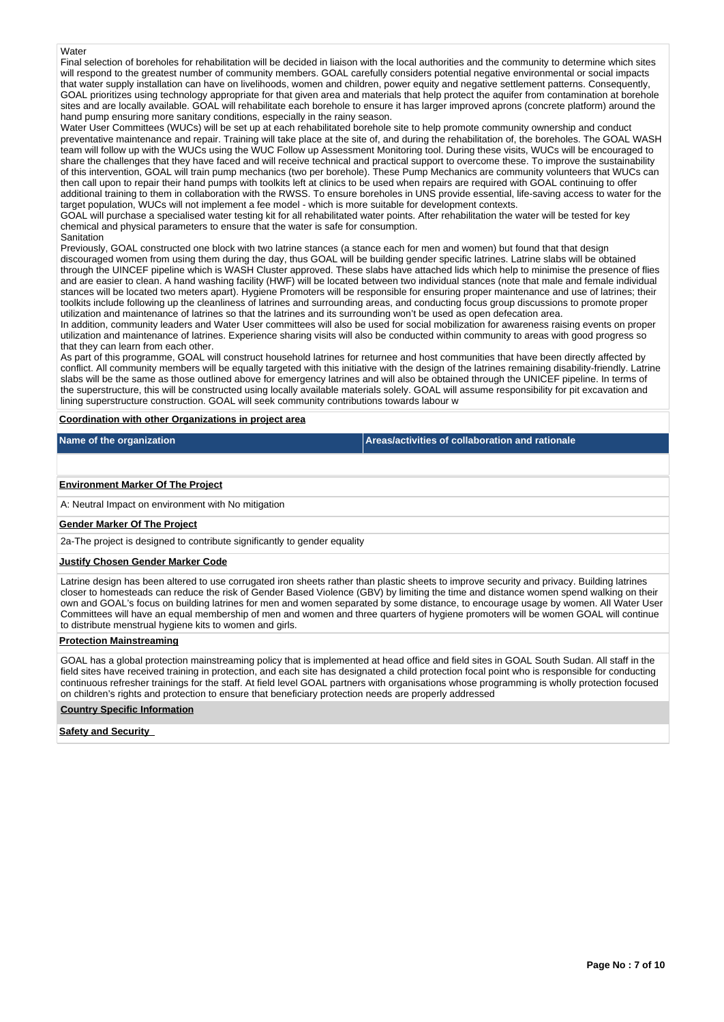## **Water**

Final selection of boreholes for rehabilitation will be decided in liaison with the local authorities and the community to determine which sites will respond to the greatest number of community members. GOAL carefully considers potential negative environmental or social impacts that water supply installation can have on livelihoods, women and children, power equity and negative settlement patterns. Consequently, GOAL prioritizes using technology appropriate for that given area and materials that help protect the aquifer from contamination at borehole sites and are locally available. GOAL will rehabilitate each borehole to ensure it has larger improved aprons (concrete platform) around the hand pump ensuring more sanitary conditions, especially in the rainy season.

Water User Committees (WUCs) will be set up at each rehabilitated borehole site to help promote community ownership and conduct preventative maintenance and repair. Training will take place at the site of, and during the rehabilitation of, the boreholes. The GOAL WASH team will follow up with the WUCs using the WUC Follow up Assessment Monitoring tool. During these visits, WUCs will be encouraged to share the challenges that they have faced and will receive technical and practical support to overcome these. To improve the sustainability of this intervention, GOAL will train pump mechanics (two per borehole). These Pump Mechanics are community volunteers that WUCs can then call upon to repair their hand pumps with toolkits left at clinics to be used when repairs are required with GOAL continuing to offer additional training to them in collaboration with the RWSS. To ensure boreholes in UNS provide essential, life-saving access to water for the target population, WUCs will not implement a fee model - which is more suitable for development contexts.

GOAL will purchase a specialised water testing kit for all rehabilitated water points. After rehabilitation the water will be tested for key chemical and physical parameters to ensure that the water is safe for consumption. **Sanitation** 

Previously, GOAL constructed one block with two latrine stances (a stance each for men and women) but found that that design discouraged women from using them during the day, thus GOAL will be building gender specific latrines. Latrine slabs will be obtained through the UINCEF pipeline which is WASH Cluster approved. These slabs have attached lids which help to minimise the presence of flies and are easier to clean. A hand washing facility (HWF) will be located between two individual stances (note that male and female individual stances will be located two meters apart). Hygiene Promoters will be responsible for ensuring proper maintenance and use of latrines; their toolkits include following up the cleanliness of latrines and surrounding areas, and conducting focus group discussions to promote proper utilization and maintenance of latrines so that the latrines and its surrounding won't be used as open defecation area.

In addition, community leaders and Water User committees will also be used for social mobilization for awareness raising events on proper utilization and maintenance of latrines. Experience sharing visits will also be conducted within community to areas with good progress so that they can learn from each other.

As part of this programme, GOAL will construct household latrines for returnee and host communities that have been directly affected by conflict. All community members will be equally targeted with this initiative with the design of the latrines remaining disability-friendly. Latrine slabs will be the same as those outlined above for emergency latrines and will also be obtained through the UNICEF pipeline. In terms of the superstructure, this will be constructed using locally available materials solely. GOAL will assume responsibility for pit excavation and lining superstructure construction. GOAL will seek community contributions towards labour w

**Coordination with other Organizations in project area**

**Name of the organization Areas/activities of collaboration and rationale** 

## **Environment Marker Of The Project**

A: Neutral Impact on environment with No mitigation

#### **Gender Marker Of The Project**

2a-The project is designed to contribute significantly to gender equality

#### **Justify Chosen Gender Marker Code**

Latrine design has been altered to use corrugated iron sheets rather than plastic sheets to improve security and privacy. Building latrines closer to homesteads can reduce the risk of Gender Based Violence (GBV) by limiting the time and distance women spend walking on their own and GOAL's focus on building latrines for men and women separated by some distance, to encourage usage by women. All Water User Committees will have an equal membership of men and women and three quarters of hygiene promoters will be women GOAL will continue to distribute menstrual hygiene kits to women and girls.

## **Protection Mainstreaming**

GOAL has a global protection mainstreaming policy that is implemented at head office and field sites in GOAL South Sudan. All staff in the field sites have received training in protection, and each site has designated a child protection focal point who is responsible for conducting continuous refresher trainings for the staff. At field level GOAL partners with organisations whose programming is wholly protection focused on children's rights and protection to ensure that beneficiary protection needs are properly addressed

## **Country Specific Information**

#### **Safety and Security**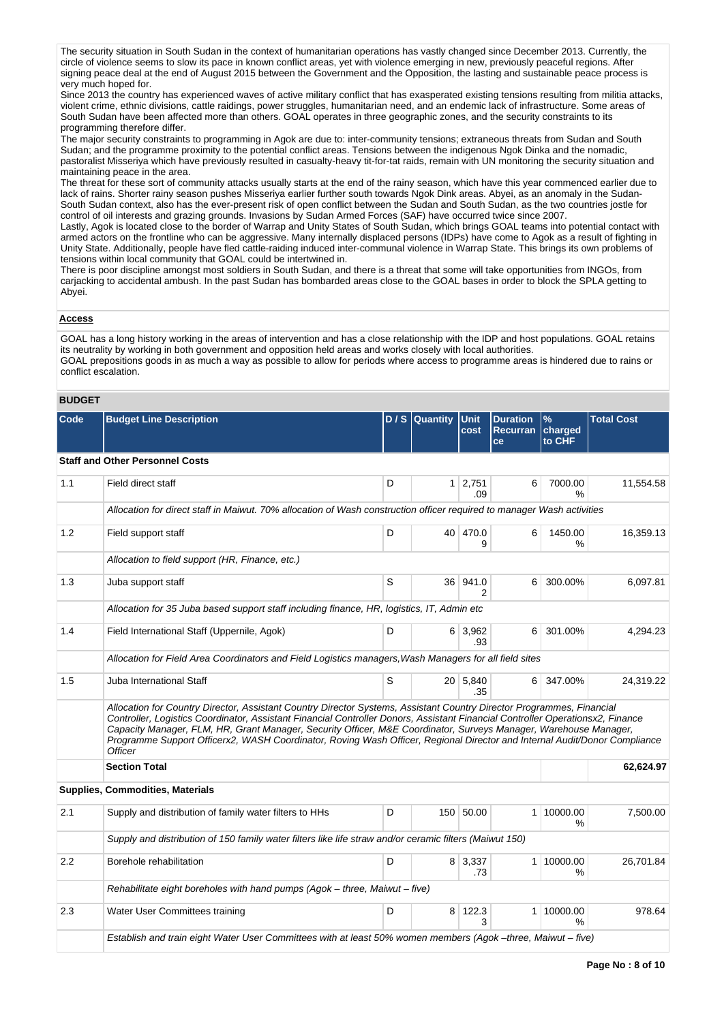The security situation in South Sudan in the context of humanitarian operations has vastly changed since December 2013. Currently, the circle of violence seems to slow its pace in known conflict areas, yet with violence emerging in new, previously peaceful regions. After signing peace deal at the end of August 2015 between the Government and the Opposition, the lasting and sustainable peace process is very much hoped for.

Since 2013 the country has experienced waves of active military conflict that has exasperated existing tensions resulting from militia attacks, violent crime, ethnic divisions, cattle raidings, power struggles, humanitarian need, and an endemic lack of infrastructure. Some areas of South Sudan have been affected more than others. GOAL operates in three geographic zones, and the security constraints to its programming therefore differ.

The major security constraints to programming in Agok are due to: inter-community tensions; extraneous threats from Sudan and South Sudan; and the programme proximity to the potential conflict areas. Tensions between the indigenous Ngok Dinka and the nomadic, pastoralist Misseriya which have previously resulted in casualty-heavy tit-for-tat raids, remain with UN monitoring the security situation and maintaining peace in the area.

The threat for these sort of community attacks usually starts at the end of the rainy season, which have this year commenced earlier due to lack of rains. Shorter rainy season pushes Misseriya earlier further south towards Ngok Dink areas. Abyei, as an anomaly in the Sudan-South Sudan context, also has the ever-present risk of open conflict between the Sudan and South Sudan, as the two countries jostle for control of oil interests and grazing grounds. Invasions by Sudan Armed Forces (SAF) have occurred twice since 2007.

Lastly, Agok is located close to the border of Warrap and Unity States of South Sudan, which brings GOAL teams into potential contact with armed actors on the frontline who can be aggressive. Many internally displaced persons (IDPs) have come to Agok as a result of fighting in Unity State. Additionally, people have fled cattle-raiding induced inter-communal violence in Warrap State. This brings its own problems of tensions within local community that GOAL could be intertwined in.

There is poor discipline amongst most soldiers in South Sudan, and there is a threat that some will take opportunities from INGOs, from carjacking to accidental ambush. In the past Sudan has bombarded areas close to the GOAL bases in order to block the SPLA getting to Abyei.

## **Access**

GOAL has a long history working in the areas of intervention and has a close relationship with the IDP and host populations. GOAL retains its neutrality by working in both government and opposition held areas and works closely with local authorities. GOAL prepositions goods in as much a way as possible to allow for periods where access to programme areas is hindered due to rains or conflict escalation.

### **BUDGET**

| Code | <b>Budget Line Description</b>                                                                                                                                                                                                                                                                                                                                                                                                                                                                                             |   | D / S Quantity Unit | cost                  | <b>Duration</b><br><b>Recurran</b><br>ce | $\%$<br>charged<br>to CHF | <b>Total Cost</b> |
|------|----------------------------------------------------------------------------------------------------------------------------------------------------------------------------------------------------------------------------------------------------------------------------------------------------------------------------------------------------------------------------------------------------------------------------------------------------------------------------------------------------------------------------|---|---------------------|-----------------------|------------------------------------------|---------------------------|-------------------|
|      | <b>Staff and Other Personnel Costs</b>                                                                                                                                                                                                                                                                                                                                                                                                                                                                                     |   |                     |                       |                                          |                           |                   |
| 1.1  | Field direct staff                                                                                                                                                                                                                                                                                                                                                                                                                                                                                                         | D |                     | $1 \mid 2,751$<br>.09 | 6                                        | 7000.00<br>$\%$           | 11,554.58         |
|      | Allocation for direct staff in Maiwut. 70% allocation of Wash construction officer required to manager Wash activities                                                                                                                                                                                                                                                                                                                                                                                                     |   |                     |                       |                                          |                           |                   |
| 1.2  | Field support staff                                                                                                                                                                                                                                                                                                                                                                                                                                                                                                        | D |                     | 40 470.0<br>9         | 6                                        | 1450.00<br>$\%$           | 16,359.13         |
|      | Allocation to field support (HR, Finance, etc.)                                                                                                                                                                                                                                                                                                                                                                                                                                                                            |   |                     |                       |                                          |                           |                   |
| 1.3  | Juba support staff                                                                                                                                                                                                                                                                                                                                                                                                                                                                                                         | S |                     | 36 941.0<br>2         | 6                                        | 300.00%                   | 6,097.81          |
|      | Allocation for 35 Juba based support staff including finance, HR, logistics, IT, Admin etc                                                                                                                                                                                                                                                                                                                                                                                                                                 |   |                     |                       |                                          |                           |                   |
| 1.4  | Field International Staff (Uppernile, Agok)                                                                                                                                                                                                                                                                                                                                                                                                                                                                                | D |                     | $6 \mid 3.962$<br>.93 | 6 <sup>1</sup>                           | 301.00%                   | 4.294.23          |
|      | Allocation for Field Area Coordinators and Field Logistics managers, Wash Managers for all field sites                                                                                                                                                                                                                                                                                                                                                                                                                     |   |                     |                       |                                          |                           |                   |
| 1.5  | Juba International Staff                                                                                                                                                                                                                                                                                                                                                                                                                                                                                                   | S |                     | 20 5,840<br>.35       |                                          | 6 347.00%                 | 24,319.22         |
|      | Allocation for Country Director, Assistant Country Director Systems, Assistant Country Director Programmes, Financial<br>Controller, Logistics Coordinator, Assistant Financial Controller Donors, Assistant Financial Controller Operationsx2, Finance<br>Capacity Manager, FLM, HR, Grant Manager, Security Officer, M&E Coordinator, Surveys Manager, Warehouse Manager,<br>Programme Support Officerx2, WASH Coordinator, Roving Wash Officer, Regional Director and Internal Audit/Donor Compliance<br><b>Officer</b> |   |                     |                       |                                          |                           |                   |
|      | <b>Section Total</b>                                                                                                                                                                                                                                                                                                                                                                                                                                                                                                       |   |                     |                       |                                          |                           | 62,624.97         |
|      | <b>Supplies, Commodities, Materials</b>                                                                                                                                                                                                                                                                                                                                                                                                                                                                                    |   |                     |                       |                                          |                           |                   |
| 2.1  | Supply and distribution of family water filters to HHs                                                                                                                                                                                                                                                                                                                                                                                                                                                                     | D |                     | 150 50.00             |                                          | 1 10000.00<br>%           | 7,500.00          |
|      | Supply and distribution of 150 family water filters like life straw and/or ceramic filters (Maiwut 150)                                                                                                                                                                                                                                                                                                                                                                                                                    |   |                     |                       |                                          |                           |                   |
| 2.2  | Borehole rehabilitation                                                                                                                                                                                                                                                                                                                                                                                                                                                                                                    | D |                     | 8 3,337<br>.73        |                                          | 1 10000.00<br>℅           | 26,701.84         |
|      | Rehabilitate eight boreholes with hand pumps (Agok - three, Maiwut - five)                                                                                                                                                                                                                                                                                                                                                                                                                                                 |   |                     |                       |                                          |                           |                   |
| 2.3  | Water User Committees training                                                                                                                                                                                                                                                                                                                                                                                                                                                                                             | D |                     | 8 122.3<br>3          |                                          | 1 10000.00<br>$\%$        | 978.64            |
|      | Establish and train eight Water User Committees with at least 50% women members (Agok -three, Maiwut - five)                                                                                                                                                                                                                                                                                                                                                                                                               |   |                     |                       |                                          |                           |                   |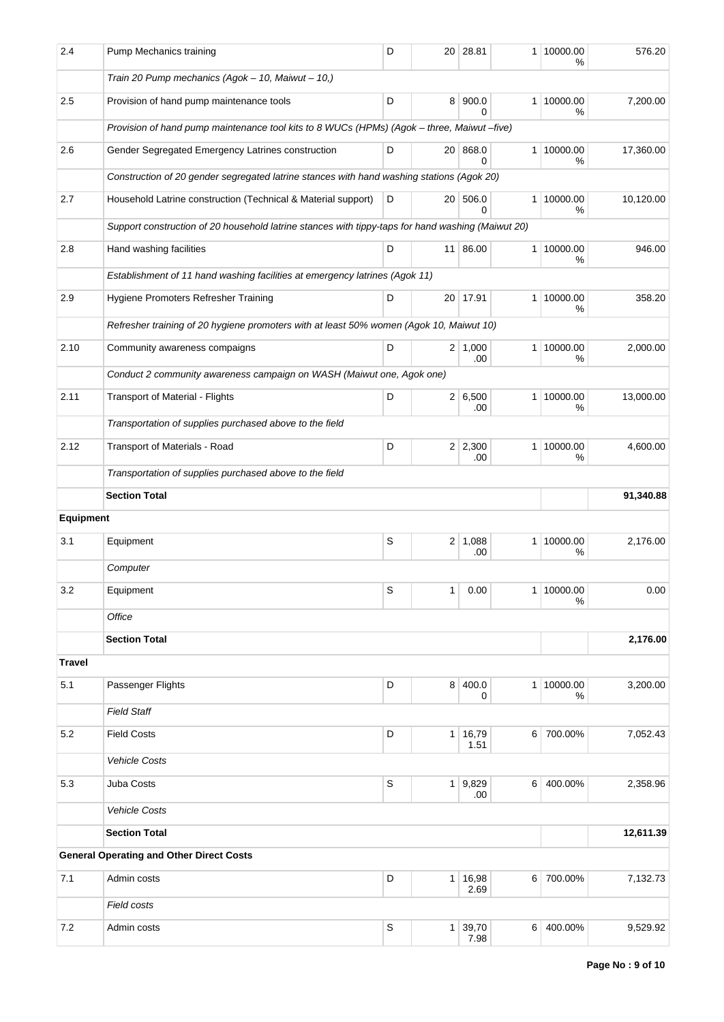| 2.4           | Pump Mechanics training                                                                           | D           |                | 20 28.81              |                  | 1 10000.00<br>℅   | 576.20    |  |  |  |  |  |  |
|---------------|---------------------------------------------------------------------------------------------------|-------------|----------------|-----------------------|------------------|-------------------|-----------|--|--|--|--|--|--|
|               | Train 20 Pump mechanics (Agok - 10, Maiwut - 10,)                                                 |             |                |                       |                  |                   |           |  |  |  |  |  |  |
| 2.5           | Provision of hand pump maintenance tools                                                          | D           |                | 8 900.0<br>0          |                  | 1 10000.00<br>%   | 7,200.00  |  |  |  |  |  |  |
|               | Provision of hand pump maintenance tool kits to 8 WUCs (HPMs) (Agok - three, Maiwut -five)        |             |                |                       |                  |                   |           |  |  |  |  |  |  |
| 2.6           | Gender Segregated Emergency Latrines construction                                                 | D           |                | 20 868.0<br>0         |                  | 1 10000.00<br>%   | 17,360.00 |  |  |  |  |  |  |
|               | Construction of 20 gender segregated latrine stances with hand washing stations (Agok 20)         |             |                |                       |                  |                   |           |  |  |  |  |  |  |
| 2.7           | Household Latrine construction (Technical & Material support)                                     | D           |                | 20 506.0<br>0         |                  | 1 10000.00<br>℅   | 10,120.00 |  |  |  |  |  |  |
|               | Support construction of 20 household latrine stances with tippy-taps for hand washing (Maiwut 20) |             |                |                       |                  |                   |           |  |  |  |  |  |  |
| 2.8           | Hand washing facilities                                                                           | D           |                | 11 86.00              |                  | 1 10000.00<br>%   | 946.00    |  |  |  |  |  |  |
|               | Establishment of 11 hand washing facilities at emergency latrines (Agok 11)                       |             |                |                       |                  |                   |           |  |  |  |  |  |  |
| 2.9           | Hygiene Promoters Refresher Training                                                              | D           |                | 20 17.91              |                  | 1   10000.00<br>℅ | 358.20    |  |  |  |  |  |  |
|               | Refresher training of 20 hygiene promoters with at least 50% women (Agok 10, Maiwut 10)           |             |                |                       |                  |                   |           |  |  |  |  |  |  |
| 2.10          | Community awareness compaigns                                                                     | D           |                | $2 \mid 1,000$<br>.00 |                  | 1 10000.00<br>%   | 2,000.00  |  |  |  |  |  |  |
|               | Conduct 2 community awareness campaign on WASH (Maiwut one, Agok one)                             |             |                |                       |                  |                   |           |  |  |  |  |  |  |
| 2.11          | Transport of Material - Flights                                                                   | D           |                | 2 6,500<br>.00        |                  | 1 10000.00<br>%   | 13,000.00 |  |  |  |  |  |  |
|               | Transportation of supplies purchased above to the field                                           |             |                |                       |                  |                   |           |  |  |  |  |  |  |
| 2.12          | Transport of Materials - Road                                                                     | D           |                | $2 \mid 2,300$<br>.00 |                  | 1 10000.00<br>℅   | 4,600.00  |  |  |  |  |  |  |
|               | Transportation of supplies purchased above to the field                                           |             |                |                       |                  |                   |           |  |  |  |  |  |  |
|               | <b>Section Total</b>                                                                              |             |                |                       |                  |                   | 91,340.88 |  |  |  |  |  |  |
| Equipment     |                                                                                                   |             |                |                       |                  |                   |           |  |  |  |  |  |  |
| 3.1           | Equipment                                                                                         | S           | 2 <sup>1</sup> | 1,088<br>.00          |                  | 1 10000.00<br>℅   | 2,176.00  |  |  |  |  |  |  |
|               | Computer                                                                                          |             |                |                       |                  |                   |           |  |  |  |  |  |  |
| 3.2           | Equipment                                                                                         | S           | 1              | 0.00                  | 1                | 10000.00<br>%     | 0.00      |  |  |  |  |  |  |
|               | Office                                                                                            |             |                |                       |                  |                   |           |  |  |  |  |  |  |
|               | <b>Section Total</b>                                                                              |             |                |                       |                  |                   | 2,176.00  |  |  |  |  |  |  |
| <b>Travel</b> |                                                                                                   |             |                |                       |                  |                   |           |  |  |  |  |  |  |
| 5.1           | Passenger Flights                                                                                 | D           |                | 8 400.0<br>0          |                  | 1 10000.00<br>%   | 3,200.00  |  |  |  |  |  |  |
|               | <b>Field Staff</b>                                                                                |             |                |                       |                  |                   |           |  |  |  |  |  |  |
| 5.2           | <b>Field Costs</b>                                                                                | D           | 1 <sup>1</sup> | 16,79<br>1.51         | 6 <sup>1</sup>   | 700.00%           | 7,052.43  |  |  |  |  |  |  |
|               | <b>Vehicle Costs</b>                                                                              |             |                |                       |                  |                   |           |  |  |  |  |  |  |
| 5.3           | Juba Costs                                                                                        | S           |                | 1 9,829<br>.00        | 6                | 400.00%           | 2,358.96  |  |  |  |  |  |  |
|               | <b>Vehicle Costs</b>                                                                              |             |                |                       |                  |                   |           |  |  |  |  |  |  |
|               | <b>Section Total</b>                                                                              |             |                |                       |                  |                   | 12,611.39 |  |  |  |  |  |  |
|               | <b>General Operating and Other Direct Costs</b>                                                   |             |                |                       |                  |                   |           |  |  |  |  |  |  |
| 7.1           | Admin costs                                                                                       | D           | 1 <sup>1</sup> | 16,98<br>2.69         | $6 \overline{6}$ | 700.00%           | 7,132.73  |  |  |  |  |  |  |
|               | Field costs                                                                                       |             |                |                       |                  |                   |           |  |  |  |  |  |  |
| 7.2           | Admin costs                                                                                       | $\mathsf S$ |                | 1 39,70<br>7.98       | $6 \overline{6}$ | 400.00%           | 9,529.92  |  |  |  |  |  |  |